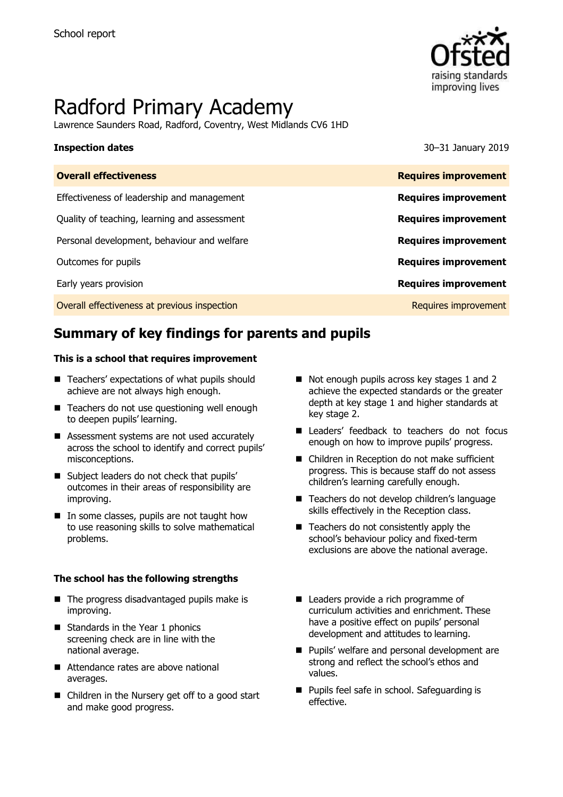

# Radford Primary Academy

Lawrence Saunders Road, Radford, Coventry, West Midlands CV6 1HD

**Inspection dates** 30–31 January 2019

| <b>Overall effectiveness</b>                 | <b>Requires improvement</b> |
|----------------------------------------------|-----------------------------|
| Effectiveness of leadership and management   | <b>Requires improvement</b> |
| Quality of teaching, learning and assessment | <b>Requires improvement</b> |
| Personal development, behaviour and welfare  | <b>Requires improvement</b> |
| Outcomes for pupils                          | <b>Requires improvement</b> |
| Early years provision                        | <b>Requires improvement</b> |
| Overall effectiveness at previous inspection | Requires improvement        |

# **Summary of key findings for parents and pupils**

#### **This is a school that requires improvement**

- Teachers' expectations of what pupils should achieve are not always high enough.
- Teachers do not use questioning well enough to deepen pupils' learning.
- Assessment systems are not used accurately across the school to identify and correct pupils' misconceptions.
- Subject leaders do not check that pupils' outcomes in their areas of responsibility are improving.
- In some classes, pupils are not taught how to use reasoning skills to solve mathematical problems.

#### **The school has the following strengths**

- The progress disadvantaged pupils make is improving.
- Standards in the Year 1 phonics screening check are in line with the national average.
- Attendance rates are above national averages.
- Children in the Nursery get off to a good start and make good progress.
- Not enough pupils across key stages 1 and 2 achieve the expected standards or the greater depth at key stage 1 and higher standards at key stage 2.
- Leaders' feedback to teachers do not focus enough on how to improve pupils' progress.
- Children in Reception do not make sufficient progress. This is because staff do not assess children's learning carefully enough.
- Teachers do not develop children's language skills effectively in the Reception class.
- Teachers do not consistently apply the school's behaviour policy and fixed-term exclusions are above the national average.
- Leaders provide a rich programme of curriculum activities and enrichment. These have a positive effect on pupils' personal development and attitudes to learning.
- **Pupils' welfare and personal development are** strong and reflect the school's ethos and values.
- **Pupils feel safe in school. Safeguarding is** effective.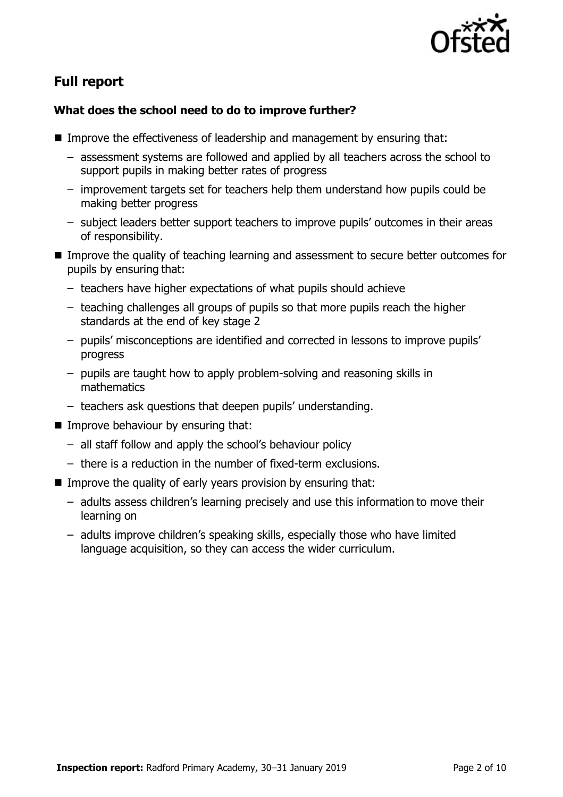

# **Full report**

### **What does the school need to do to improve further?**

- Improve the effectiveness of leadership and management by ensuring that:
	- assessment systems are followed and applied by all teachers across the school to support pupils in making better rates of progress
	- improvement targets set for teachers help them understand how pupils could be making better progress
	- subject leaders better support teachers to improve pupils' outcomes in their areas of responsibility.
- **IMPROM** Improve the quality of teaching learning and assessment to secure better outcomes for pupils by ensuring that:
	- teachers have higher expectations of what pupils should achieve
	- teaching challenges all groups of pupils so that more pupils reach the higher standards at the end of key stage 2
	- pupils' misconceptions are identified and corrected in lessons to improve pupils' progress
	- pupils are taught how to apply problem-solving and reasoning skills in mathematics
	- teachers ask questions that deepen pupils' understanding.
- $\blacksquare$  Improve behaviour by ensuring that:
	- all staff follow and apply the school's behaviour policy
	- there is a reduction in the number of fixed-term exclusions.
- Improve the quality of early years provision by ensuring that:
	- adults assess children's learning precisely and use this information to move their learning on
	- adults improve children's speaking skills, especially those who have limited language acquisition, so they can access the wider curriculum.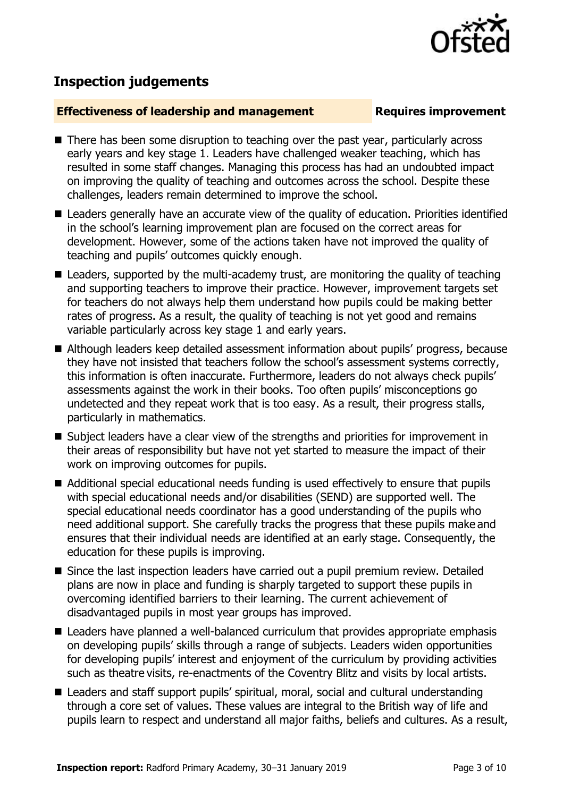# **Inspection judgements**

### **Effectiveness of leadership and management Requires improvement**

- There has been some disruption to teaching over the past year, particularly across early years and key stage 1. Leaders have challenged weaker teaching, which has resulted in some staff changes. Managing this process has had an undoubted impact on improving the quality of teaching and outcomes across the school. Despite these challenges, leaders remain determined to improve the school.
- Leaders generally have an accurate view of the quality of education. Priorities identified in the school's learning improvement plan are focused on the correct areas for development. However, some of the actions taken have not improved the quality of teaching and pupils' outcomes quickly enough.
- Leaders, supported by the multi-academy trust, are monitoring the quality of teaching and supporting teachers to improve their practice. However, improvement targets set for teachers do not always help them understand how pupils could be making better rates of progress. As a result, the quality of teaching is not yet good and remains variable particularly across key stage 1 and early years.
- Although leaders keep detailed assessment information about pupils' progress, because they have not insisted that teachers follow the school's assessment systems correctly, this information is often inaccurate. Furthermore, leaders do not always check pupils' assessments against the work in their books. Too often pupils' misconceptions go undetected and they repeat work that is too easy. As a result, their progress stalls, particularly in mathematics.
- Subject leaders have a clear view of the strengths and priorities for improvement in their areas of responsibility but have not yet started to measure the impact of their work on improving outcomes for pupils.
- Additional special educational needs funding is used effectively to ensure that pupils with special educational needs and/or disabilities (SEND) are supported well. The special educational needs coordinator has a good understanding of the pupils who need additional support. She carefully tracks the progress that these pupils make and ensures that their individual needs are identified at an early stage. Consequently, the education for these pupils is improving.
- Since the last inspection leaders have carried out a pupil premium review. Detailed plans are now in place and funding is sharply targeted to support these pupils in overcoming identified barriers to their learning. The current achievement of disadvantaged pupils in most year groups has improved.
- Leaders have planned a well-balanced curriculum that provides appropriate emphasis on developing pupils' skills through a range of subjects. Leaders widen opportunities for developing pupils' interest and enjoyment of the curriculum by providing activities such as theatre visits, re-enactments of the Coventry Blitz and visits by local artists.
- Leaders and staff support pupils' spiritual, moral, social and cultural understanding through a core set of values. These values are integral to the British way of life and pupils learn to respect and understand all major faiths, beliefs and cultures. As a result,



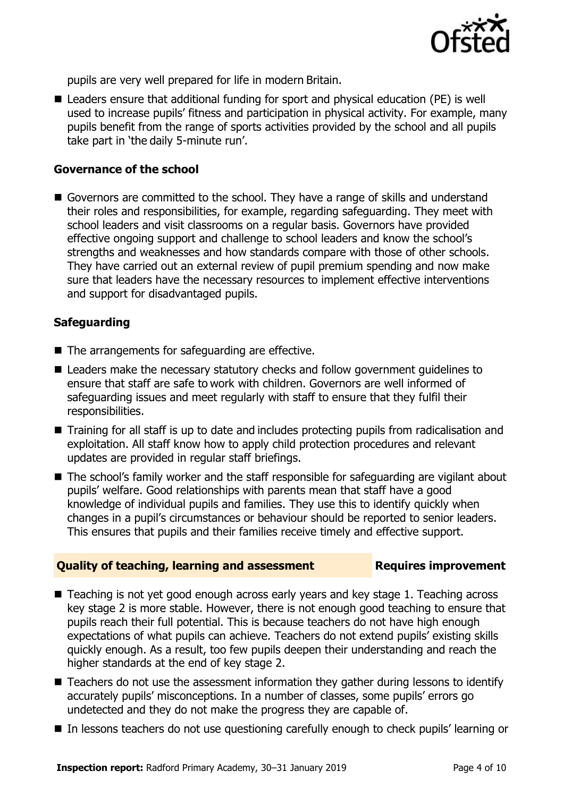

pupils are very well prepared for life in modern Britain.

■ Leaders ensure that additional funding for sport and physical education (PE) is well used to increase pupils' fitness and participation in physical activity. For example, many pupils benefit from the range of sports activities provided by the school and all pupils take part in 'the daily 5-minute run'.

#### **Governance of the school**

Governors are committed to the school. They have a range of skills and understand their roles and responsibilities, for example, regarding safeguarding. They meet with school leaders and visit classrooms on a regular basis. Governors have provided effective ongoing support and challenge to school leaders and know the school's strengths and weaknesses and how standards compare with those of other schools. They have carried out an external review of pupil premium spending and now make sure that leaders have the necessary resources to implement effective interventions and support for disadvantaged pupils.

#### **Safeguarding**

- The arrangements for safeguarding are effective.
- Leaders make the necessary statutory checks and follow government quidelines to ensure that staff are safe to work with children. Governors are well informed of safeguarding issues and meet regularly with staff to ensure that they fulfil their responsibilities.
- Training for all staff is up to date and includes protecting pupils from radicalisation and exploitation. All staff know how to apply child protection procedures and relevant updates are provided in regular staff briefings.
- The school's family worker and the staff responsible for safeguarding are vigilant about pupils' welfare. Good relationships with parents mean that staff have a good knowledge of individual pupils and families. They use this to identify quickly when changes in a pupil's circumstances or behaviour should be reported to senior leaders. This ensures that pupils and their families receive timely and effective support.

#### **Quality of teaching, learning and assessment Requires improvement**

- Teaching is not yet good enough across early years and key stage 1. Teaching across key stage 2 is more stable. However, there is not enough good teaching to ensure that pupils reach their full potential. This is because teachers do not have high enough expectations of what pupils can achieve. Teachers do not extend pupils' existing skills quickly enough. As a result, too few pupils deepen their understanding and reach the higher standards at the end of key stage 2.
- Teachers do not use the assessment information they gather during lessons to identify accurately pupils' misconceptions. In a number of classes, some pupils' errors go undetected and they do not make the progress they are capable of.
- In lessons teachers do not use questioning carefully enough to check pupils' learning or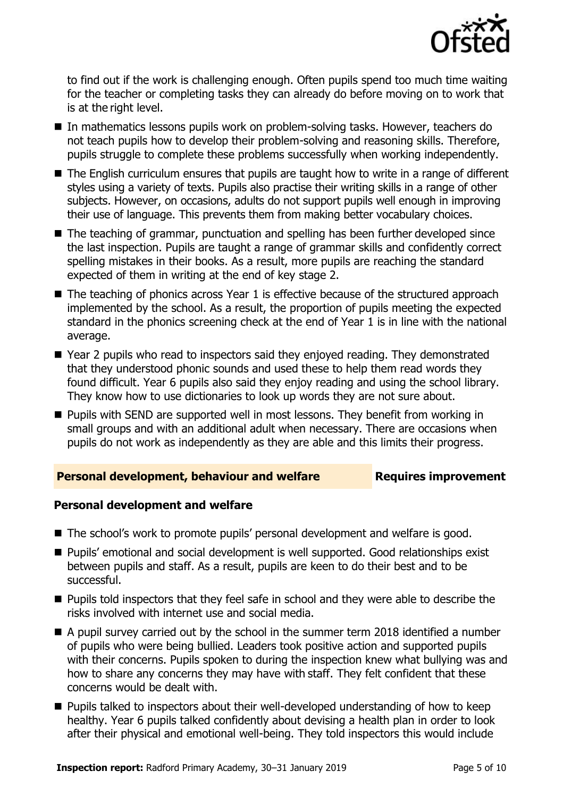

to find out if the work is challenging enough. Often pupils spend too much time waiting for the teacher or completing tasks they can already do before moving on to work that is at the right level.

- In mathematics lessons pupils work on problem-solving tasks. However, teachers do not teach pupils how to develop their problem-solving and reasoning skills. Therefore, pupils struggle to complete these problems successfully when working independently.
- The English curriculum ensures that pupils are taught how to write in a range of different styles using a variety of texts. Pupils also practise their writing skills in a range of other subjects. However, on occasions, adults do not support pupils well enough in improving their use of language. This prevents them from making better vocabulary choices.
- The teaching of grammar, punctuation and spelling has been further developed since the last inspection. Pupils are taught a range of grammar skills and confidently correct spelling mistakes in their books. As a result, more pupils are reaching the standard expected of them in writing at the end of key stage 2.
- $\blacksquare$  The teaching of phonics across Year 1 is effective because of the structured approach implemented by the school. As a result, the proportion of pupils meeting the expected standard in the phonics screening check at the end of Year 1 is in line with the national average.
- Year 2 pupils who read to inspectors said they enjoyed reading. They demonstrated that they understood phonic sounds and used these to help them read words they found difficult. Year 6 pupils also said they enjoy reading and using the school library. They know how to use dictionaries to look up words they are not sure about.
- **Pupils with SEND are supported well in most lessons. They benefit from working in** small groups and with an additional adult when necessary. There are occasions when pupils do not work as independently as they are able and this limits their progress.

#### **Personal development, behaviour and welfare Fig. 2.1 Requires improvement**

#### **Personal development and welfare**

- The school's work to promote pupils' personal development and welfare is good.
- **Pupils'** emotional and social development is well supported. Good relationships exist between pupils and staff. As a result, pupils are keen to do their best and to be successful.
- **Pupils told inspectors that they feel safe in school and they were able to describe the** risks involved with internet use and social media.
- $\blacksquare$  A pupil survey carried out by the school in the summer term 2018 identified a number of pupils who were being bullied. Leaders took positive action and supported pupils with their concerns. Pupils spoken to during the inspection knew what bullying was and how to share any concerns they may have with staff. They felt confident that these concerns would be dealt with.
- Pupils talked to inspectors about their well-developed understanding of how to keep healthy. Year 6 pupils talked confidently about devising a health plan in order to look after their physical and emotional well-being. They told inspectors this would include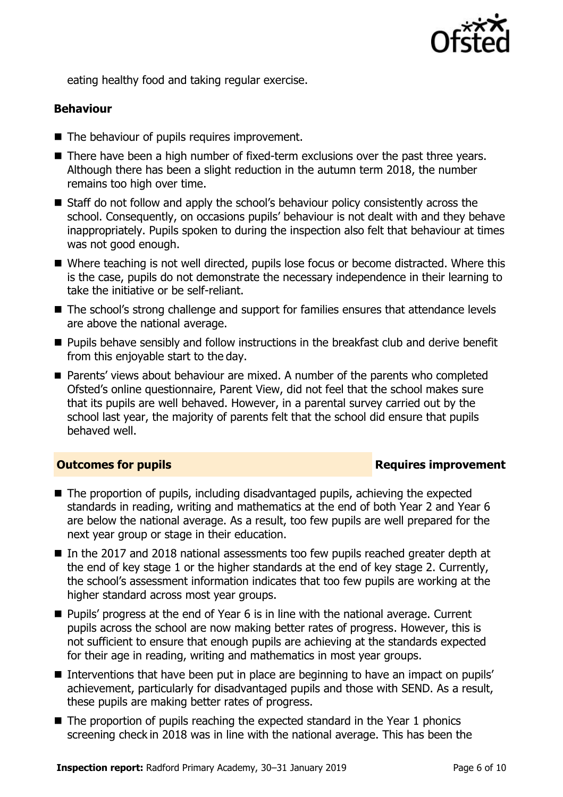

eating healthy food and taking regular exercise.

### **Behaviour**

- The behaviour of pupils requires improvement.
- There have been a high number of fixed-term exclusions over the past three years. Although there has been a slight reduction in the autumn term 2018, the number remains too high over time.
- Staff do not follow and apply the school's behaviour policy consistently across the school. Consequently, on occasions pupils' behaviour is not dealt with and they behave inappropriately. Pupils spoken to during the inspection also felt that behaviour at times was not good enough.
- Where teaching is not well directed, pupils lose focus or become distracted. Where this is the case, pupils do not demonstrate the necessary independence in their learning to take the initiative or be self-reliant.
- The school's strong challenge and support for families ensures that attendance levels are above the national average.
- **Pupils behave sensibly and follow instructions in the breakfast club and derive benefit** from this enjoyable start to the day.
- **Parents' views about behaviour are mixed. A number of the parents who completed** Ofsted's online questionnaire, Parent View, did not feel that the school makes sure that its pupils are well behaved. However, in a parental survey carried out by the school last year, the majority of parents felt that the school did ensure that pupils behaved well.

### **Outcomes for pupils Requires improvement**

- The proportion of pupils, including disadvantaged pupils, achieving the expected standards in reading, writing and mathematics at the end of both Year 2 and Year 6 are below the national average. As a result, too few pupils are well prepared for the next year group or stage in their education.
- In the 2017 and 2018 national assessments too few pupils reached greater depth at the end of key stage 1 or the higher standards at the end of key stage 2. Currently, the school's assessment information indicates that too few pupils are working at the higher standard across most year groups.
- Pupils' progress at the end of Year 6 is in line with the national average. Current pupils across the school are now making better rates of progress. However, this is not sufficient to ensure that enough pupils are achieving at the standards expected for their age in reading, writing and mathematics in most year groups.
- Interventions that have been put in place are beginning to have an impact on pupils' achievement, particularly for disadvantaged pupils and those with SEND. As a result, these pupils are making better rates of progress.
- $\blacksquare$  The proportion of pupils reaching the expected standard in the Year 1 phonics screening check in 2018 was in line with the national average. This has been the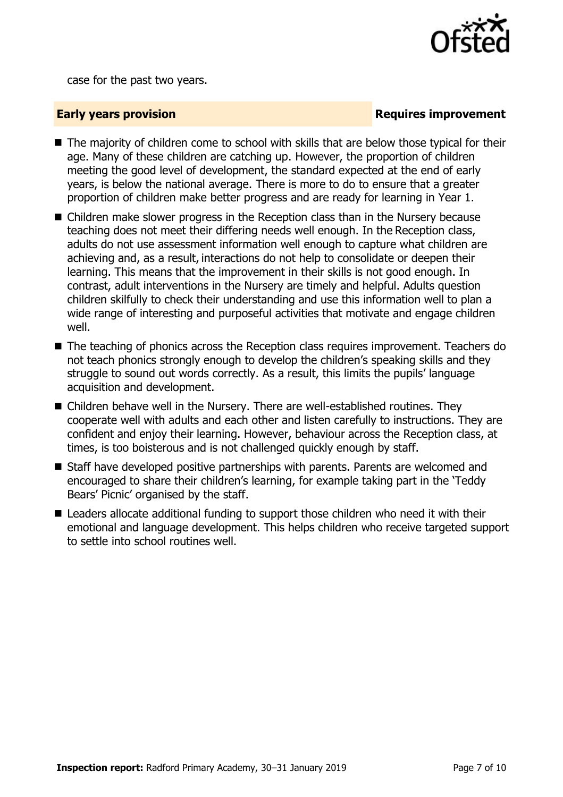

case for the past two years.

### **Early years provision**

- The majority of children come to school with skills that are below those typical for their age. Many of these children are catching up. However, the proportion of children meeting the good level of development, the standard expected at the end of early years, is below the national average. There is more to do to ensure that a greater proportion of children make better progress and are ready for learning in Year 1.
- Children make slower progress in the Reception class than in the Nursery because teaching does not meet their differing needs well enough. In the Reception class, adults do not use assessment information well enough to capture what children are achieving and, as a result, interactions do not help to consolidate or deepen their learning. This means that the improvement in their skills is not good enough. In contrast, adult interventions in the Nursery are timely and helpful. Adults question children skilfully to check their understanding and use this information well to plan a wide range of interesting and purposeful activities that motivate and engage children well.
- The teaching of phonics across the Reception class requires improvement. Teachers do not teach phonics strongly enough to develop the children's speaking skills and they struggle to sound out words correctly. As a result, this limits the pupils' language acquisition and development.
- Children behave well in the Nursery. There are well-established routines. They cooperate well with adults and each other and listen carefully to instructions. They are confident and enjoy their learning. However, behaviour across the Reception class, at times, is too boisterous and is not challenged quickly enough by staff.
- Staff have developed positive partnerships with parents. Parents are welcomed and encouraged to share their children's learning, for example taking part in the 'Teddy Bears' Picnic' organised by the staff.
- Leaders allocate additional funding to support those children who need it with their emotional and language development. This helps children who receive targeted support to settle into school routines well.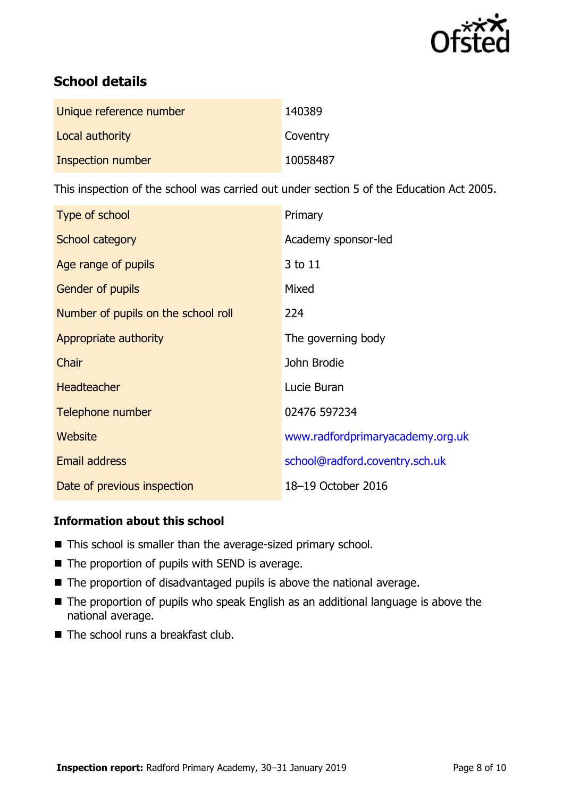

# **School details**

| Unique reference number | 140389   |
|-------------------------|----------|
| Local authority         | Coventry |
| Inspection number       | 10058487 |

This inspection of the school was carried out under section 5 of the Education Act 2005.

| Type of school                      | Primary                          |
|-------------------------------------|----------------------------------|
| School category                     | Academy sponsor-led              |
| Age range of pupils                 | 3 to 11                          |
| <b>Gender of pupils</b>             | Mixed                            |
| Number of pupils on the school roll | 224                              |
| Appropriate authority               | The governing body               |
| Chair                               | John Brodie                      |
| <b>Headteacher</b>                  | Lucie Buran                      |
| Telephone number                    | 02476 597234                     |
| Website                             | www.radfordprimaryacademy.org.uk |
| <b>Email address</b>                | school@radford.coventry.sch.uk   |
| Date of previous inspection         | 18-19 October 2016               |

### **Information about this school**

- This school is smaller than the average-sized primary school.
- The proportion of pupils with SEND is average.
- The proportion of disadvantaged pupils is above the national average.
- The proportion of pupils who speak English as an additional language is above the national average.
- $\blacksquare$  The school runs a breakfast club.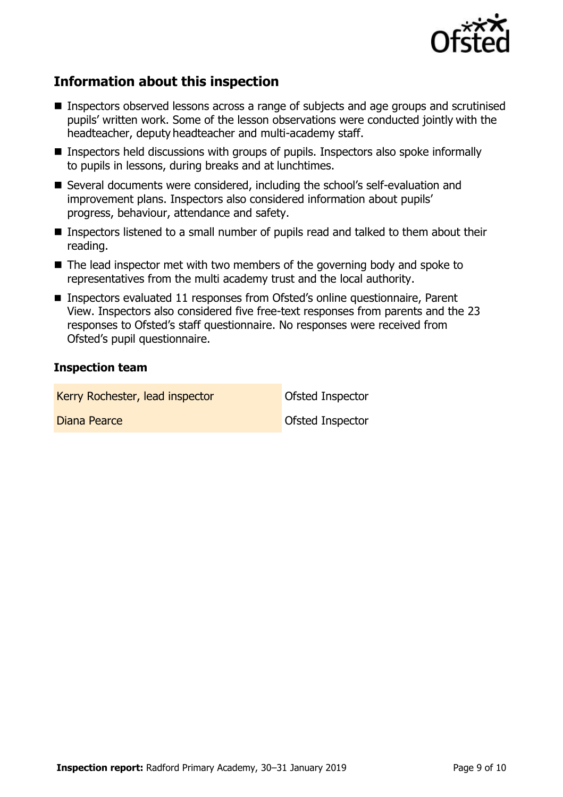

## **Information about this inspection**

- Inspectors observed lessons across a range of subjects and age groups and scrutinised pupils' written work. Some of the lesson observations were conducted jointly with the headteacher, deputy headteacher and multi-academy staff.
- **Inspectors held discussions with groups of pupils. Inspectors also spoke informally** to pupils in lessons, during breaks and at lunchtimes.
- Several documents were considered, including the school's self-evaluation and improvement plans. Inspectors also considered information about pupils' progress, behaviour, attendance and safety.
- Inspectors listened to a small number of pupils read and talked to them about their reading.
- The lead inspector met with two members of the governing body and spoke to representatives from the multi academy trust and the local authority.
- Inspectors evaluated 11 responses from Ofsted's online questionnaire, Parent View. Inspectors also considered five free-text responses from parents and the 23 responses to Ofsted's staff questionnaire. No responses were received from Ofsted's pupil questionnaire.

### **Inspection team**

Kerry Rochester, lead inspector **Canadia** Ofsted Inspector Diana Pearce **Ofsted Inspector**